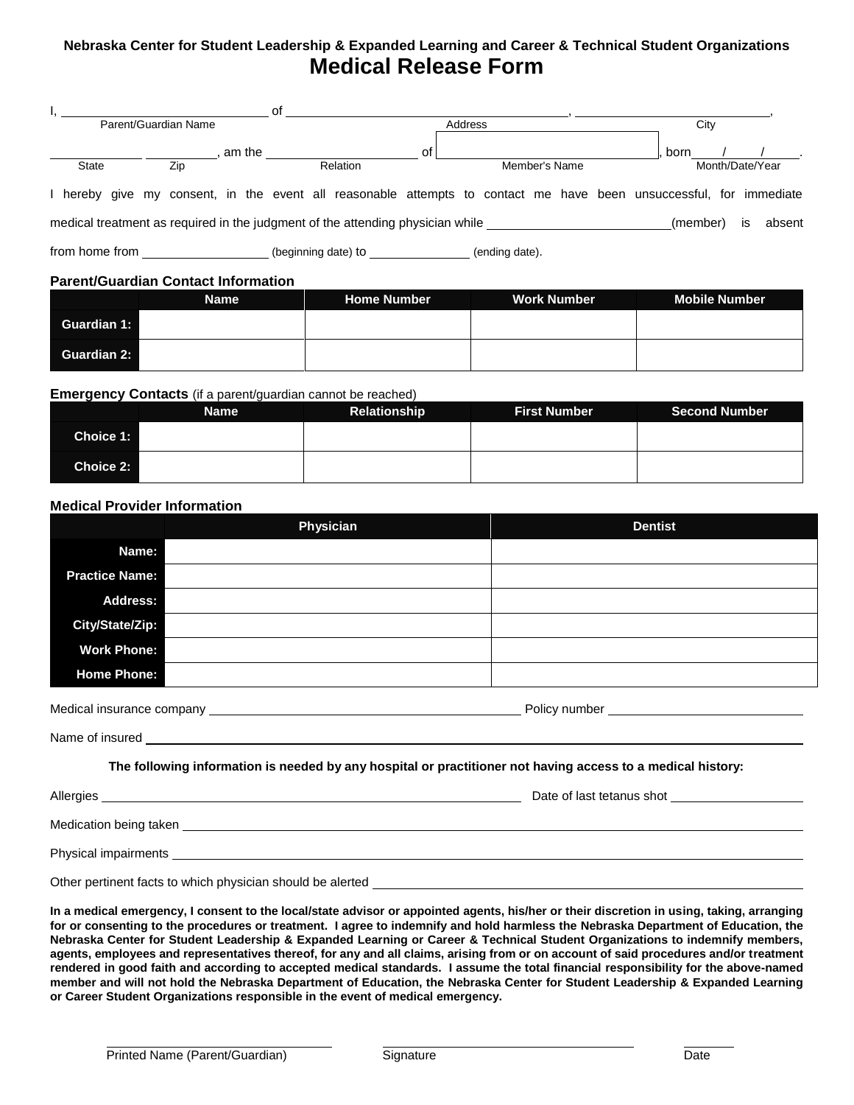## **Nebraska Center for Student Leadership & Expanded Learning and Career & Technical Student Organizations Medical Release Form**

|                                                                                                                    |     |        | οf |                     |    |  |                |               |  |          |                 |    |        |
|--------------------------------------------------------------------------------------------------------------------|-----|--------|----|---------------------|----|--|----------------|---------------|--|----------|-----------------|----|--------|
| Parent/Guardian Name                                                                                               |     |        |    | Address             |    |  |                | City          |  |          |                 |    |        |
|                                                                                                                    |     | am the |    |                     | of |  |                |               |  | born     |                 |    |        |
| <b>State</b>                                                                                                       | Zip |        |    | Relation            |    |  |                | Member's Name |  |          | Month/Date/Year |    |        |
| I hereby give my consent, in the event all reasonable attempts to contact me have been unsuccessful, for immediate |     |        |    |                     |    |  |                |               |  |          |                 |    |        |
| medical treatment as required in the judgment of the attending physician while                                     |     |        |    |                     |    |  |                |               |  | (member) |                 | is | absent |
| from home from the state of the state of the state of the state of the state of the state of the state of the s    |     |        |    | (beginning date) to |    |  | (ending date). |               |  |          |                 |    |        |
| <b>Parent/Guardian Contact Information</b>                                                                         |     |        |    |                     |    |  |                |               |  |          |                 |    |        |

|                    | <b>Name</b> | <b>Home Number</b> | <b>Work Number</b> | <b>Mobile Number</b> |
|--------------------|-------------|--------------------|--------------------|----------------------|
| <b>Guardian 1:</b> |             |                    |                    |                      |
| <b>Guardian 2:</b> |             |                    |                    |                      |

#### **Emergency Contacts** (if a parent/guardian cannot be reached)

|           | <b>Name</b> | <b>Relationship</b> | <b>First Number</b> | <b>Second Number</b> |
|-----------|-------------|---------------------|---------------------|----------------------|
| Choice 1: |             |                     |                     |                      |
| Choice 2: |             |                     |                     |                      |

### **Medical Provider Information**

|                           | Physician | <b>Dentist</b> |
|---------------------------|-----------|----------------|
| Name:                     |           |                |
| <b>Practice Name:</b>     |           |                |
| <b>Address:</b>           |           |                |
| City/State/Zip:           |           |                |
| <b>Work Phone:</b>        |           |                |
| <b>Home Phone:</b>        |           |                |
| Medical insurance company |           | Policy number  |

Name of insured

### **The following information is needed by any hospital or practitioner not having access to a medical history:**

| Allergies              | Date of last tetanus shot |
|------------------------|---------------------------|
|                        |                           |
| Medication being taken |                           |
| Physical impairments   |                           |
|                        |                           |

Other pertinent facts to which physician should be alerted

**In a medical emergency, I consent to the local/state advisor or appointed agents, his/her or their discretion in using, taking, arranging for or consenting to the procedures or treatment. I agree to indemnify and hold harmless the Nebraska Department of Education, the Nebraska Center for Student Leadership & Expanded Learning or Career & Technical Student Organizations to indemnify members, agents, employees and representatives thereof, for any and all claims, arising from or on account of said procedures and/or treatment rendered in good faith and according to accepted medical standards. I assume the total financial responsibility for the above-named member and will not hold the Nebraska Department of Education, the Nebraska Center for Student Leadership & Expanded Learning or Career Student Organizations responsible in the event of medical emergency.**